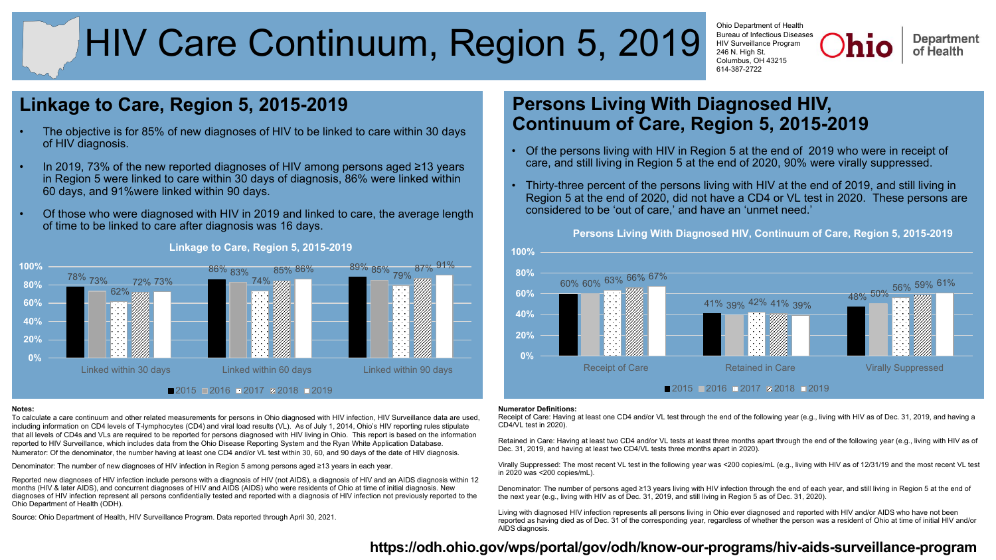# HIV Care Continuum, Region 5, 2019

Ohio Department of Health Bureau of Infectious Diseases HIV Surveillance Program 246 N. High St. Columbus, OH 43215 614-387-2722

**Department** of Health

# **Linkage to Care, Region 5, 2015-2019**

- The objective is for 85% of new diagnoses of HIV to be linked to care within 30 days of HIV diagnosis.
- In 2019, 73% of the new reported diagnoses of HIV among persons aged ≥13 years in Region 5 were linked to care within 30 days of diagnosis, 86% were linked within 60 days, and 91%were linked within 90 days.
- Of those who were diagnosed with HIV in 2019 and linked to care, the average length of time to be linked to care after diagnosis was 16 days.



## **Linkage to Care, Region 5, 2015-2019**

#### **Notes:**

To calculate a care continuum and other related measurements for persons in Ohio diagnosed with HIV infection, HIV Surveillance data are used, including information on CD4 levels of T-lymphocytes (CD4) and viral load results (VL). As of July 1, 2014, Ohio's HIV reporting rules stipulate that all levels of CD4s and VLs are required to be reported for persons diagnosed with HIV living in Ohio. This report is based on the information reported to HIV Surveillance, which includes data from the Ohio Disease Reporting System and the Ryan White Application Database. Numerator: Of the denominator, the number having at least one CD4 and/or VL test within 30, 60, and 90 days of the date of HIV diagnosis.

Denominator: The number of new diagnoses of HIV infection in Region 5 among persons aged ≥13 years in each year.

Reported new diagnoses of HIV infection include persons with a diagnosis of HIV (not AIDS), a diagnosis of HIV and an AIDS diagnosis within 12 months (HIV & later AIDS), and concurrent diagnoses of HIV and AIDS (AIDS) who were residents of Ohio at time of initial diagnosis. New diagnoses of HIV infection represent all persons confidentially tested and reported with a diagnosis of HIV infection not previously reported to the Ohio Department of Health (ODH).

Source: Ohio Department of Health, HIV Surveillance Program. Data reported through April 30, 2021.

# **Persons Living With Diagnosed HIV, Continuum of Care, Region 5, 2015-2019**

- Of the persons living with HIV in Region 5 at the end of 2019 who were in receipt of care, and still living in Region 5 at the end of 2020, 90% were virally suppressed.
- Thirty-three percent of the persons living with HIV at the end of 2019, and still living in Region 5 at the end of 2020, did not have a CD4 or VL test in 2020. These persons are considered to be 'out of care,' and have an 'unmet need.'

60% 60% 63% 66% 67% 41% 48% 39% 42% 41% 39% 50% 56% 59% 61% **0% 20% 40% 60% 80% 100%** Receipt of Care **Retained in Care** Virally Suppressed **Persons Living With Diagnosed HIV, Continuum of Care, Region 5, 2015-2019**  $2015$  2016 2017 2018 2019

#### **Numerator Definitions:**

Receipt of Care: Having at least one CD4 and/or VL test through the end of the following year (e.g., living with HIV as of Dec. 31, 2019, and having a CD4/VL test in 2020).

Retained in Care: Having at least two CD4 and/or VL tests at least three months apart through the end of the following year (e.g., living with HIV as of Dec. 31, 2019, and having at least two CD4/VL tests three months apart in 2020).

Virally Suppressed: The most recent VL test in the following year was <200 copies/mL (e.g., living with HIV as of 12/31/19 and the most recent VL test in 2020 was <200 copies/mL).

Denominator: The number of persons aged ≥13 years living with HIV infection through the end of each year, and still living in Region 5 at the end of the next year (e.g., living with HIV as of Dec. 31, 2019, and still living in Region 5 as of Dec. 31, 2020).

Living with diagnosed HIV infection represents all persons living in Ohio ever diagnosed and reported with HIV and/or AIDS who have not been reported as having died as of Dec. 31 of the corresponding year, regardless of whether the person was a resident of Ohio at time of initial HIV and/or AIDS diagnosis.

# **<https://odh.ohio.gov/wps/portal/gov/odh/know-our-programs/hiv-aids-surveillance-program>**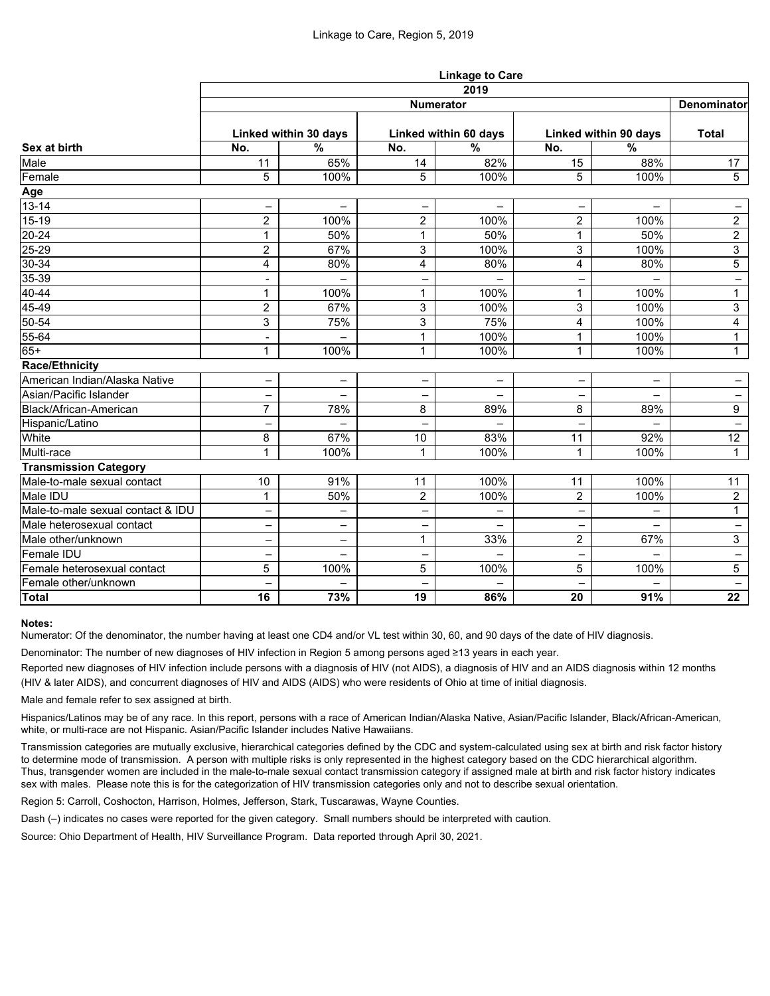|                                   | <b>Linkage to Care</b>   |                          |                          |                          |                          |                          |                          |  |  |  |
|-----------------------------------|--------------------------|--------------------------|--------------------------|--------------------------|--------------------------|--------------------------|--------------------------|--|--|--|
| Sex at birth                      | 2019<br>Denominator      |                          |                          |                          |                          |                          |                          |  |  |  |
|                                   | <b>Numerator</b>         |                          |                          |                          |                          |                          |                          |  |  |  |
|                                   | Linked within 30 days    |                          | Linked within 60 days    |                          | Linked within 90 days    |                          | <b>Total</b>             |  |  |  |
|                                   | No.                      | $\frac{0}{0}$            | No.                      | $\frac{0}{0}$            | No.                      | $\%$                     |                          |  |  |  |
| Male                              | 11                       | 65%                      | 14                       | 82%                      | 15                       | 88%                      | 17                       |  |  |  |
| Female                            | 5                        | 100%                     | 5                        | 100%                     | 5                        | 100%                     | $5\phantom{.}$           |  |  |  |
| Age                               |                          |                          |                          |                          |                          |                          |                          |  |  |  |
| $13 - 14$                         | -                        | $\qquad \qquad -$        | $\overline{\phantom{0}}$ | $\qquad \qquad -$        | $\qquad \qquad -$        | $\overline{\phantom{0}}$ | $\qquad \qquad -$        |  |  |  |
| $15-19$                           | $\overline{2}$           | 100%                     | $\overline{2}$           | 100%                     | $\overline{2}$           | 100%                     | $\overline{2}$           |  |  |  |
| $20 - 24$                         | 1                        | 50%                      | 1                        | 50%                      | $\mathbf 1$              | 50%                      | $\overline{2}$           |  |  |  |
| $25 - 29$                         | $\overline{2}$           | 67%                      | $\mathfrak{S}$           | 100%                     | 3                        | 100%                     | $\overline{3}$           |  |  |  |
| $30 - 34$                         | 4                        | 80%                      | 4                        | 80%                      | 4                        | 80%                      | 5                        |  |  |  |
| $35 - 39$                         | ۰                        | $\qquad \qquad -$        |                          |                          | $\overline{\phantom{m}}$ |                          | -                        |  |  |  |
| 40-44                             | 1                        | 100%                     | 1                        | 100%                     | $\mathbf{1}$             | 100%                     | $\mathbf{1}$             |  |  |  |
| 45-49                             | $\overline{2}$           | 67%                      | $\mathfrak{S}$           | 100%                     | 3                        | 100%                     | 3                        |  |  |  |
| 50-54                             | 3                        | 75%                      | 3                        | 75%                      | 4                        | 100%                     | 4                        |  |  |  |
| 55-64                             |                          |                          | 1                        | 100%                     | $\mathbf{1}$             | 100%                     | $\mathbf{1}$             |  |  |  |
| $65+$                             | 1                        | 100%                     | 1                        | 100%                     | $\mathbf 1$              | 100%                     | $\mathbf{1}$             |  |  |  |
| <b>Race/Ethnicity</b>             |                          |                          |                          |                          |                          |                          |                          |  |  |  |
| American Indian/Alaska Native     | —                        | $\overline{\phantom{m}}$ |                          | -                        | —                        | $\overline{\phantom{0}}$ | —                        |  |  |  |
| Asian/Pacific Islander            |                          |                          |                          |                          |                          |                          | -                        |  |  |  |
| Black/African-American            | $\overline{7}$           | 78%                      | 8                        | 89%                      | 8                        | 89%                      | 9                        |  |  |  |
| Hispanic/Latino                   | $\overline{\phantom{0}}$ | $\overline{\phantom{0}}$ |                          | $\overline{\phantom{0}}$ |                          | $\equiv$                 | $\qquad \qquad -$        |  |  |  |
| White                             | 8                        | 67%                      | 10                       | 83%                      | 11                       | 92%                      | 12                       |  |  |  |
| Multi-race                        | 1                        | 100%                     | $\overline{\mathbf{A}}$  | 100%                     | $\mathbf 1$              | 100%                     | $\mathbf{1}$             |  |  |  |
| <b>Transmission Category</b>      |                          |                          |                          |                          |                          |                          |                          |  |  |  |
| Male-to-male sexual contact       | 10                       | 91%                      | 11                       | 100%                     | 11                       | 100%                     | 11                       |  |  |  |
| Male IDU                          | 1                        | 50%                      | $\overline{2}$           | 100%                     | $\overline{2}$           | 100%                     | $\overline{2}$           |  |  |  |
| Male-to-male sexual contact & IDU |                          | $\qquad \qquad -$        |                          | $\qquad \qquad -$        | $\qquad \qquad -$        | $\qquad \qquad -$        | $\mathbf{1}$             |  |  |  |
| Male heterosexual contact         |                          |                          |                          |                          |                          |                          |                          |  |  |  |
| Male other/unknown                | -                        | $\overline{\phantom{0}}$ | $\mathbf 1$              | 33%                      | $\overline{2}$           | 67%                      | 3                        |  |  |  |
| Female IDU                        | -                        | $\qquad \qquad -$        | $\qquad \qquad -$        | -                        | $\qquad \qquad -$        | $\qquad \qquad -$        | -                        |  |  |  |
| Female heterosexual contact       | 5                        | 100%                     | 5                        | 100%                     | 5                        | 100%                     | 5 <sup>5</sup>           |  |  |  |
| Female other/unknown              | -                        | $\overline{\phantom{0}}$ |                          | $\equiv$                 | $\qquad \qquad -$        | $\qquad \qquad -$        | $\overline{\phantom{0}}$ |  |  |  |
| <b>Total</b>                      | 16                       | 73%                      | 19                       | 86%                      | 20                       | 91%                      | 22                       |  |  |  |

## **Notes:**

Numerator: Of the denominator, the number having at least one CD4 and/or VL test within 30, 60, and 90 days of the date of HIV diagnosis.

Denominator: The number of new diagnoses of HIV infection in Region 5 among persons aged ≥13 years in each year.

Reported new diagnoses of HIV infection include persons with a diagnosis of HIV (not AIDS), a diagnosis of HIV and an AIDS diagnosis within 12 months (HIV & later AIDS), and concurrent diagnoses of HIV and AIDS (AIDS) who were residents of Ohio at time of initial diagnosis.

Male and female refer to sex assigned at birth.

Hispanics/Latinos may be of any race. In this report, persons with a race of American Indian/Alaska Native, Asian/Pacific Islander, Black/African-American, white, or multi-race are not Hispanic. Asian/Pacific Islander includes Native Hawaiians.

Transmission categories are mutually exclusive, hierarchical categories defined by the CDC and system-calculated using sex at birth and risk factor history to determine mode of transmission. A person with multiple risks is only represented in the highest category based on the CDC hierarchical algorithm. Thus, transgender women are included in the male-to-male sexual contact transmission category if assigned male at birth and risk factor history indicates sex with males. Please note this is for the categorization of HIV transmission categories only and not to describe sexual orientation.

Region 5: Carroll, Coshocton, Harrison, Holmes, Jefferson, Stark, Tuscarawas, Wayne Counties.

Dash (–) indicates no cases were reported for the given category. Small numbers should be interpreted with caution.

Source: Ohio Department of Health, HIV Surveillance Program. Data reported through April 30, 2021.